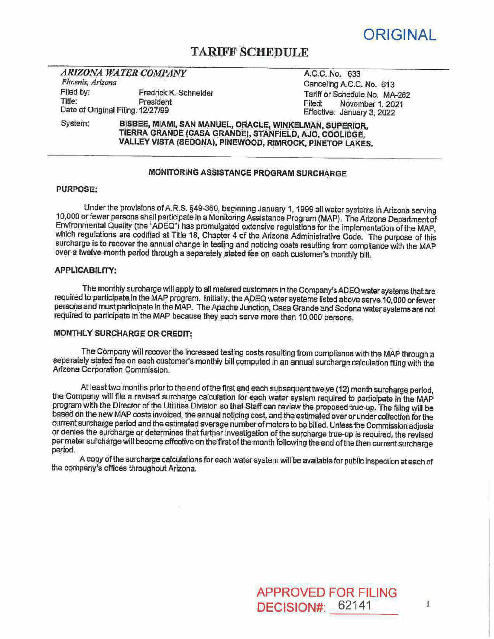

# **TARIFF SCHEDULE**

### **ARIZONA WATER COMPANY** Phoenix, Arizona Filed by: Fredrick K Schneider

Title: . President Date of Original Filing. 12/27/99

A.C.C. No. 633 Canceling A.C.C. No. 613 Tarlff or Schedule No. MA-262<br>Filed: November 1 2021 November 1. 2021 Effective: January 3, 2022

System: BISBEE, MIAMI, SAN MANUEL, ORACLE, WINKELMAN, SUPERIOR, TIERRA GRANDE (CASA GRANDE), STANFIELD, AJO, COOLIDGE, VALLEY VISTA (SEDDNA), PINEWOOD, RIMROCK, PINETOP LAKES.

# MONITORING ASSISTANCE PROGRAM SURCHARGE

#### PURPOSE:

Under the provisions ofA.R.S. §4Q-360, beginning January 1, 1999 all water systems in Arizona sewing 10,000 or fewer persons shall participate in a Monitoring Assistance. Program (MAP). The Arizona Department of Environmental Quality (the "ADEQ") has promulgated extensive regulations for the implementation of the MAP, which regulations are codified at Title 18, Chapter 4 of the Arizona Administrative Code. The purpose of this surcharge is to recover the annual change in testing and noticing costs resulting from compliance with the MAP over a twelve-month period through a separately stated fee on each customer's monthly bill.

### **APPLICABILITY:**

The monthly surcharge will apply to all metered customers in the Company's ADEQ water systems that are required to participate in the MAP program. Initially, the ADEQ water systems listed above serve.10,000 or fewer persons and must participate in the MAP. The Apache Junction, Casa Grande and Sedona water systems are not required to participate in the MAP because they each serve more than 10,000 persons.

## MONTHLY SURCHARGE on CREDIT;

The Company will recover the increased testing costs resulting from compliance with the MAP through a separately stated fee on each customer's monthly bill computed in an annual surcharge calculation filing with the Arizona Corporation Commission.

current surcharge period and the estimated average number of meters to be billed. Unless the Commission adjusts At least two months prior to the end of the first and each subsequent twelve (12) month surcharge period. the Gornpany will file a revised surcharge calculation for each water system required to participate in the MAP program with the Director of the Utilities Division so that Staff can review the proposed true-up. The filing will be based on the new MAP costs invoiced, the annual noticing cost, and the estimated over or under collection for the or denies the surcharge or determines that further investigation of the surcharge true-up is required, the revised per meter surcharge will become effective on the first of the month following the end of the then current surcharge period.

A copy of the surcharge calculations for each water system will be available for public inspection at each of the company's offices throughout Arizona.